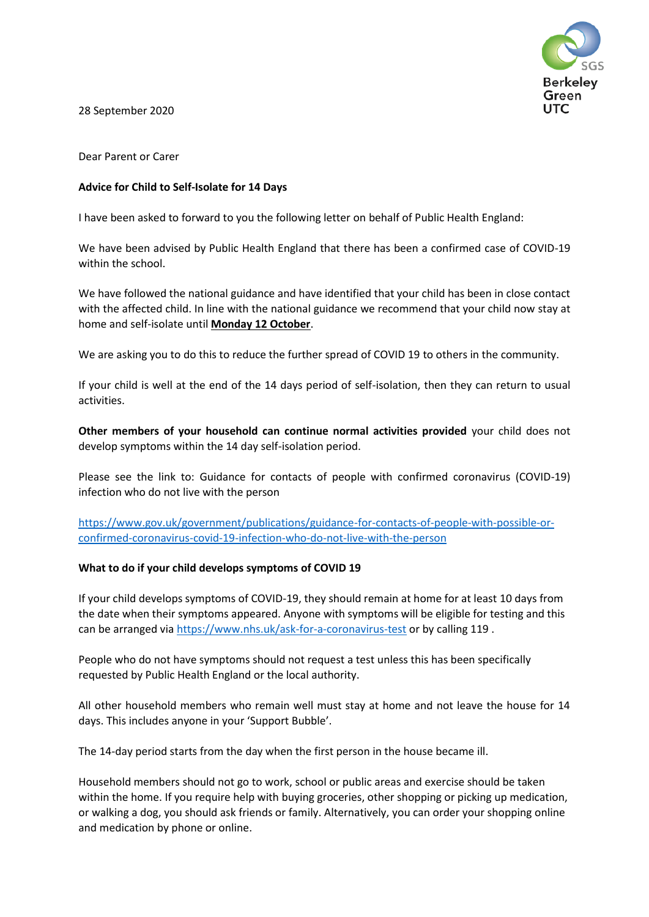

28 September 2020

Dear Parent or Carer

# **Advice for Child to Self-Isolate for 14 Days**

I have been asked to forward to you the following letter on behalf of Public Health England:

We have been advised by Public Health England that there has been a confirmed case of COVID-19 within the school.

We have followed the national guidance and have identified that your child has been in close contact with the affected child. In line with the national guidance we recommend that your child now stay at home and self-isolate until **Monday 12 October**.

We are asking you to do this to reduce the further spread of COVID 19 to others in the community.

If your child is well at the end of the 14 days period of self-isolation, then they can return to usual activities.

**Other members of your household can continue normal activities provided** your child does not develop symptoms within the 14 day self-isolation period.

Please see the link to: Guidance for contacts of people with confirmed coronavirus (COVID-19) infection who do not live with the person

[https://www.gov.uk/government/publications/guidance-for-contacts-of-people-with-possible-or](https://www.gov.uk/government/publications/guidance-for-contacts-of-people-with-possible-or-confirmed-coronavirus-covid-19-infection-who-do-not-live-with-the-person)[confirmed-coronavirus-covid-19-infection-who-do-not-live-with-the-person](https://www.gov.uk/government/publications/guidance-for-contacts-of-people-with-possible-or-confirmed-coronavirus-covid-19-infection-who-do-not-live-with-the-person)

## **What to do if your child develops symptoms of COVID 19**

If your child develops symptoms of COVID-19, they should remain at home for at least 10 days from the date when their symptoms appeared. Anyone with symptoms will be eligible for testing and this can be arranged via<https://www.nhs.uk/ask-for-a-coronavirus-test> or by calling 119 .

People who do not have symptoms should not request a test unless this has been specifically requested by Public Health England or the local authority.

All other household members who remain well must stay at home and not leave the house for 14 days. This includes anyone in your 'Support Bubble'.

The 14-day period starts from the day when the first person in the house became ill.

Household members should not go to work, school or public areas and exercise should be taken within the home. If you require help with buying groceries, other shopping or picking up medication, or walking a dog, you should ask friends or family. Alternatively, you can order your shopping online and medication by phone or online.